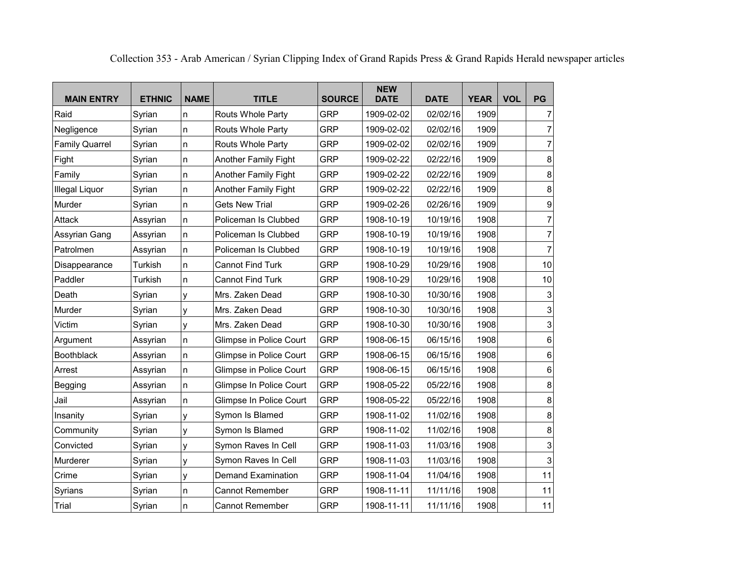| <b>MAIN ENTRY</b>     | <b>ETHNIC</b> | <b>NAME</b> | <b>TITLE</b>                | <b>SOURCE</b> | <b>NEW</b><br><b>DATE</b> | <b>DATE</b> | <b>YEAR</b> | <b>VOL</b> | PG                        |
|-----------------------|---------------|-------------|-----------------------------|---------------|---------------------------|-------------|-------------|------------|---------------------------|
| Raid                  | Syrian        | n           | Routs Whole Party           | <b>GRP</b>    | 1909-02-02                | 02/02/16    | 1909        |            | $\overline{7}$            |
| Negligence            | Syrian        | n           | Routs Whole Party           | <b>GRP</b>    | 1909-02-02                | 02/02/16    | 1909        |            | $\overline{7}$            |
| <b>Family Quarrel</b> | Syrian        | n           | Routs Whole Party           | <b>GRP</b>    | 1909-02-02                | 02/02/16    | 1909        |            | $\overline{7}$            |
| Fight                 | Syrian        | n           | <b>Another Family Fight</b> | <b>GRP</b>    | 1909-02-22                | 02/22/16    | 1909        |            | 8                         |
| Family                | Syrian        | n           | <b>Another Family Fight</b> | <b>GRP</b>    | 1909-02-22                | 02/22/16    | 1909        |            | 8                         |
| Illegal Liquor        | Syrian        | n           | Another Family Fight        | <b>GRP</b>    | 1909-02-22                | 02/22/16    | 1909        |            | 8                         |
| Murder                | Syrian        | n           | <b>Gets New Trial</b>       | <b>GRP</b>    | 1909-02-26                | 02/26/16    | 1909        |            | 9                         |
| Attack                | Assyrian      | n           | Policeman Is Clubbed        | <b>GRP</b>    | 1908-10-19                | 10/19/16    | 1908        |            | $\overline{7}$            |
| Assyrian Gang         | Assyrian      | n           | Policeman Is Clubbed        | <b>GRP</b>    | 1908-10-19                | 10/19/16    | 1908        |            | $\overline{7}$            |
| Patrolmen             | Assyrian      | n           | Policeman Is Clubbed        | <b>GRP</b>    | 1908-10-19                | 10/19/16    | 1908        |            | 7                         |
| Disappearance         | Turkish       | n           | <b>Cannot Find Turk</b>     | <b>GRP</b>    | 1908-10-29                | 10/29/16    | 1908        |            | 10                        |
| Paddler               | Turkish       | n           | <b>Cannot Find Turk</b>     | <b>GRP</b>    | 1908-10-29                | 10/29/16    | 1908        |            | 10                        |
| Death                 | Syrian        | y           | Mrs. Zaken Dead             | <b>GRP</b>    | 1908-10-30                | 10/30/16    | 1908        |            | 3                         |
| Murder                | Syrian        | y           | Mrs. Zaken Dead             | <b>GRP</b>    | 1908-10-30                | 10/30/16    | 1908        |            | $\ensuremath{\mathsf{3}}$ |
| Victim                | Syrian        | У           | Mrs. Zaken Dead             | <b>GRP</b>    | 1908-10-30                | 10/30/16    | 1908        |            | $\mathsf 3$               |
| Argument              | Assyrian      | n           | Glimpse in Police Court     | <b>GRP</b>    | 1908-06-15                | 06/15/16    | 1908        |            | 6                         |
| <b>Boothblack</b>     | Assyrian      | n           | Glimpse in Police Court     | <b>GRP</b>    | 1908-06-15                | 06/15/16    | 1908        |            | 6                         |
| Arrest                | Assyrian      | n           | Glimpse in Police Court     | <b>GRP</b>    | 1908-06-15                | 06/15/16    | 1908        |            | 6                         |
| Begging               | Assyrian      | n           | Glimpse In Police Court     | <b>GRP</b>    | 1908-05-22                | 05/22/16    | 1908        |            | 8                         |
| Jail                  | Assyrian      | n           | Glimpse In Police Court     | <b>GRP</b>    | 1908-05-22                | 05/22/16    | 1908        |            | 8                         |
| Insanity              | Syrian        | y           | Symon Is Blamed             | <b>GRP</b>    | 1908-11-02                | 11/02/16    | 1908        |            | 8                         |
| Community             | Syrian        | У           | Symon Is Blamed             | <b>GRP</b>    | 1908-11-02                | 11/02/16    | 1908        |            | 8                         |
| Convicted             | Syrian        | y           | Symon Raves In Cell         | <b>GRP</b>    | 1908-11-03                | 11/03/16    | 1908        |            | $\ensuremath{\mathsf{3}}$ |
| Murderer              | Syrian        | У           | Symon Raves In Cell         | <b>GRP</b>    | 1908-11-03                | 11/03/16    | 1908        |            | $\ensuremath{\mathsf{3}}$ |
| Crime                 | Syrian        | У           | Demand Examination          | <b>GRP</b>    | 1908-11-04                | 11/04/16    | 1908        |            | 11                        |
| Syrians               | Syrian        | n           | Cannot Remember             | <b>GRP</b>    | 1908-11-11                | 11/11/16    | 1908        |            | 11                        |
| Trial                 | Syrian        | n           | Cannot Remember             | <b>GRP</b>    | 1908-11-11                | 11/11/16    | 1908        |            | 11                        |

Collection 353 - Arab American / Syrian Clipping Index of Grand Rapids Press & Grand Rapids Herald newspaper articles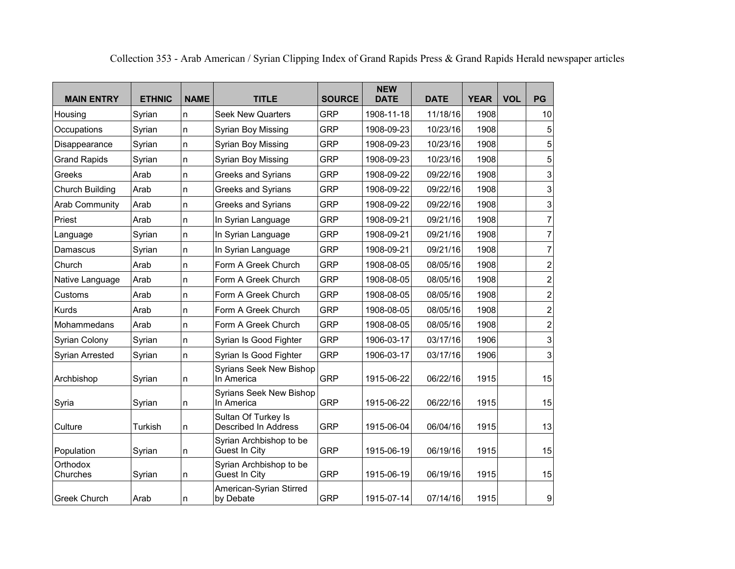| <b>MAIN ENTRY</b>     | <b>ETHNIC</b> | <b>NAME</b> | <b>TITLE</b>                                       | <b>SOURCE</b> | <b>NEW</b><br><b>DATE</b> | <b>DATE</b> | <b>YEAR</b> | <b>VOL</b> | <b>PG</b>               |
|-----------------------|---------------|-------------|----------------------------------------------------|---------------|---------------------------|-------------|-------------|------------|-------------------------|
| Housing               | Syrian        | n           | <b>Seek New Quarters</b>                           | <b>GRP</b>    | 1908-11-18                | 11/18/16    | 1908        |            | 10                      |
| Occupations           | Syrian        | n           | Syrian Boy Missing                                 | <b>GRP</b>    | 1908-09-23                | 10/23/16    | 1908        |            | 5                       |
| Disappearance         | Syrian        | n           | Syrian Boy Missing                                 | <b>GRP</b>    | 1908-09-23                | 10/23/16    | 1908        |            | 5                       |
| <b>Grand Rapids</b>   | Syrian        | n           | Syrian Boy Missing                                 | <b>GRP</b>    | 1908-09-23                | 10/23/16    | 1908        |            | 5                       |
| Greeks                | Arab          | n           | Greeks and Syrians                                 | <b>GRP</b>    | 1908-09-22                | 09/22/16    | 1908        |            | 3                       |
| Church Building       | Arab          | n           | Greeks and Syrians                                 | <b>GRP</b>    | 1908-09-22                | 09/22/16    | 1908        |            | 3                       |
| <b>Arab Community</b> | Arab          | n           | <b>Greeks and Syrians</b>                          | <b>GRP</b>    | 1908-09-22                | 09/22/16    | 1908        |            | 3                       |
| Priest                | Arab          | n           | In Syrian Language                                 | <b>GRP</b>    | 1908-09-21                | 09/21/16    | 1908        |            | $\overline{7}$          |
| Language              | Syrian        | n           | In Syrian Language                                 | <b>GRP</b>    | 1908-09-21                | 09/21/16    | 1908        |            | $\overline{7}$          |
| Damascus              | Syrian        | n           | In Syrian Language                                 | <b>GRP</b>    | 1908-09-21                | 09/21/16    | 1908        |            | $\overline{7}$          |
| Church                | Arab          | n           | Form A Greek Church                                | <b>GRP</b>    | 1908-08-05                | 08/05/16    | 1908        |            | $\overline{c}$          |
| Native Language       | Arab          | n           | Form A Greek Church                                | <b>GRP</b>    | 1908-08-05                | 08/05/16    | 1908        |            | $\overline{c}$          |
| Customs               | Arab          | n           | Form A Greek Church                                | <b>GRP</b>    | 1908-08-05                | 08/05/16    | 1908        |            | $\overline{\mathbf{c}}$ |
| Kurds                 | Arab          | n           | Form A Greek Church                                | <b>GRP</b>    | 1908-08-05                | 08/05/16    | 1908        |            | $\overline{c}$          |
| Mohammedans           | Arab          | n           | Form A Greek Church                                | <b>GRP</b>    | 1908-08-05                | 08/05/16    | 1908        |            | $\overline{c}$          |
| <b>Syrian Colony</b>  | Syrian        | n           | Syrian Is Good Fighter                             | <b>GRP</b>    | 1906-03-17                | 03/17/16    | 1906        |            | 3                       |
| Syrian Arrested       | Syrian        | n           | Syrian Is Good Fighter                             | <b>GRP</b>    | 1906-03-17                | 03/17/16    | 1906        |            | 3                       |
| Archbishop            | Syrian        | n           | <b>Syrians Seek New Bishop</b><br>In America       | <b>GRP</b>    | 1915-06-22                | 06/22/16    | 1915        |            | 15                      |
| Syria                 | Syrian        | n           | <b>Syrians Seek New Bishop</b><br>In America       | <b>GRP</b>    | 1915-06-22                | 06/22/16    | 1915        |            | 15                      |
| Culture               | Turkish       | n           | Sultan Of Turkey Is<br><b>Described In Address</b> | <b>GRP</b>    | 1915-06-04                | 06/04/16    | 1915        |            | 13                      |
| Population            | Syrian        | n           | Syrian Archbishop to be<br>Guest In City           | <b>GRP</b>    | 1915-06-19                | 06/19/16    | 1915        |            | 15                      |
| Orthodox<br>Churches  | Syrian        | n           | Syrian Archbishop to be<br>Guest In City           | <b>GRP</b>    | 1915-06-19                | 06/19/16    | 1915        |            | 15                      |
| <b>Greek Church</b>   | Arab          | n           | American-Syrian Stirred<br>by Debate               | <b>GRP</b>    | 1915-07-14                | 07/14/16    | 1915        |            | 9                       |

Collection 353 - Arab American / Syrian Clipping Index of Grand Rapids Press & Grand Rapids Herald newspaper articles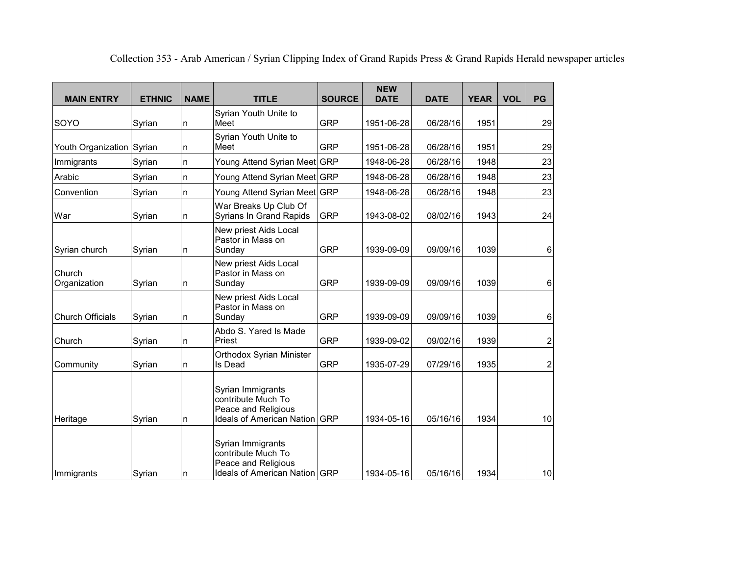| <b>MAIN ENTRY</b>         | <b>ETHNIC</b> | <b>NAME</b> | <b>TITLE</b>                                                                                    | <b>SOURCE</b> | <b>NEW</b><br><b>DATE</b> | <b>DATE</b> | <b>YEAR</b> | <b>VOL</b> | <b>PG</b>        |
|---------------------------|---------------|-------------|-------------------------------------------------------------------------------------------------|---------------|---------------------------|-------------|-------------|------------|------------------|
| SOYO                      | Syrian        | n           | Syrian Youth Unite to<br>Meet                                                                   | GRP           | 1951-06-28                | 06/28/16    | 1951        |            | 29               |
| Youth Organization Syrian |               | n           | Syrian Youth Unite to<br>Meet                                                                   | <b>GRP</b>    | 1951-06-28                | 06/28/16    | 1951        |            | 29               |
| Immigrants                | Syrian        | n           | Young Attend Syrian Meet GRP                                                                    |               | 1948-06-28                | 06/28/16    | 1948        |            | 23               |
| Arabic                    | Syrian        | n           | Young Attend Syrian Meet GRP                                                                    |               | 1948-06-28                | 06/28/16    | 1948        |            | 23               |
| Convention                | Syrian        | n           | Young Attend Syrian Meet GRP                                                                    |               | 1948-06-28                | 06/28/16    | 1948        |            | 23               |
| War                       | Syrian        | n           | War Breaks Up Club Of<br>Syrians In Grand Rapids                                                | <b>GRP</b>    | 1943-08-02                | 08/02/16    | 1943        |            | 24               |
| Syrian church             | Syrian        | n           | New priest Aids Local<br>Pastor in Mass on<br>Sunday                                            | <b>GRP</b>    | 1939-09-09                | 09/09/16    | 1039        |            | 6                |
| Church<br>Organization    | Syrian        | n           | New priest Aids Local<br>Pastor in Mass on<br>Sunday                                            | <b>GRP</b>    | 1939-09-09                | 09/09/16    | 1039        |            | 6                |
| <b>Church Officials</b>   | Syrian        | n           | New priest Aids Local<br>Pastor in Mass on<br>Sunday                                            | <b>GRP</b>    | 1939-09-09                | 09/09/16    | 1039        |            | 6                |
| Church                    | Syrian        | n           | Abdo S. Yared Is Made<br>Priest                                                                 | <b>GRP</b>    | 1939-09-02                | 09/02/16    | 1939        |            | $\boldsymbol{2}$ |
| Community                 | Syrian        | n           | Orthodox Syrian Minister<br>Is Dead                                                             | <b>GRP</b>    | 1935-07-29                | 07/29/16    | 1935        |            | $\boldsymbol{2}$ |
| Heritage                  | Syrian        | n           | Syrian Immigrants<br>contribute Much To<br>Peace and Religious<br>Ideals of American Nation GRP |               | 1934-05-16                | 05/16/16    | 1934        |            | 10               |
| Immigrants                | Syrian        | n           | Syrian Immigrants<br>contribute Much To<br>Peace and Religious<br>Ideals of American Nation GRP |               | 1934-05-16                | 05/16/16    | 1934        |            | 10               |

Collection 353 - Arab American / Syrian Clipping Index of Grand Rapids Press & Grand Rapids Herald newspaper articles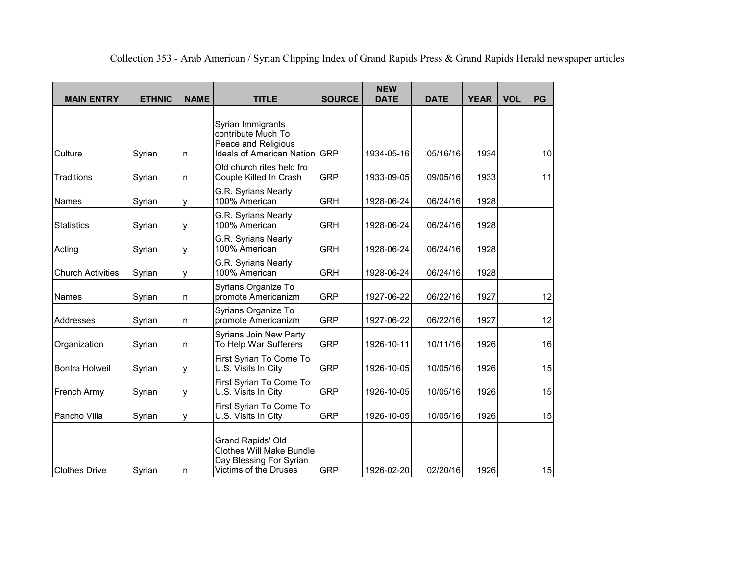| <b>MAIN ENTRY</b>        | <b>ETHNIC</b> | <b>NAME</b> | <b>TITLE</b>                                                                                             | <b>SOURCE</b> | <b>NEW</b><br><b>DATE</b> | <b>DATE</b> | <b>YEAR</b> | <b>VOL</b> | <b>PG</b> |
|--------------------------|---------------|-------------|----------------------------------------------------------------------------------------------------------|---------------|---------------------------|-------------|-------------|------------|-----------|
| Culture                  | Syrian        | n           | Syrian Immigrants<br>contribute Much To<br>Peace and Religious<br><b>Ideals of American Nation</b>       | <b>GRP</b>    | 1934-05-16                | 05/16/16    | 1934        |            | 10        |
| <b>Traditions</b>        | Syrian        | n           | Old church rites held fro<br>Couple Killed In Crash                                                      | <b>GRP</b>    | 1933-09-05                | 09/05/16    | 1933        |            | 11        |
| Names                    | Syrian        | y           | G.R. Syrians Nearly<br>100% American                                                                     | <b>GRH</b>    | 1928-06-24                | 06/24/16    | 1928        |            |           |
| <b>Statistics</b>        | Syrian        | у           | G.R. Syrians Nearly<br>100% American                                                                     | <b>GRH</b>    | 1928-06-24                | 06/24/16    | 1928        |            |           |
| Acting                   | Syrian        | y           | G.R. Syrians Nearly<br>100% American                                                                     | <b>GRH</b>    | 1928-06-24                | 06/24/16    | 1928        |            |           |
| <b>Church Activities</b> | Syrian        | у           | G.R. Syrians Nearly<br>100% American                                                                     | <b>GRH</b>    | 1928-06-24                | 06/24/16    | 1928        |            |           |
| Names                    | Syrian        | n           | Syrians Organize To<br>promote Americanizm                                                               | <b>GRP</b>    | 1927-06-22                | 06/22/16    | 1927        |            | 12        |
| Addresses                | Syrian        | n           | Syrians Organize To<br>promote Americanizm                                                               | <b>GRP</b>    | 1927-06-22                | 06/22/16    | 1927        |            | 12        |
| Organization             | Syrian        | n           | Syrians Join New Party<br>To Help War Sufferers                                                          | <b>GRP</b>    | 1926-10-11                | 10/11/16    | 1926        |            | 16        |
| <b>Bontra Holweil</b>    | Syrian        | у           | First Syrian To Come To<br>U.S. Visits In City                                                           | <b>GRP</b>    | 1926-10-05                | 10/05/16    | 1926        |            | 15        |
| French Army              | Syrian        | ٧           | First Syrian To Come To<br>U.S. Visits In City                                                           | <b>GRP</b>    | 1926-10-05                | 10/05/16    | 1926        |            | 15        |
| Pancho Villa             | Syrian        | у           | First Syrian To Come To<br>U.S. Visits In City                                                           | <b>GRP</b>    | 1926-10-05                | 10/05/16    | 1926        |            | 15        |
| <b>Clothes Drive</b>     | Syrian        | n           | Grand Rapids' Old<br><b>Clothes Will Make Bundle</b><br>Day Blessing For Syrian<br>Victims of the Druses | <b>GRP</b>    | 1926-02-20                | 02/20/16    | 1926        |            | 15        |

Collection 353 - Arab American / Syrian Clipping Index of Grand Rapids Press & Grand Rapids Herald newspaper articles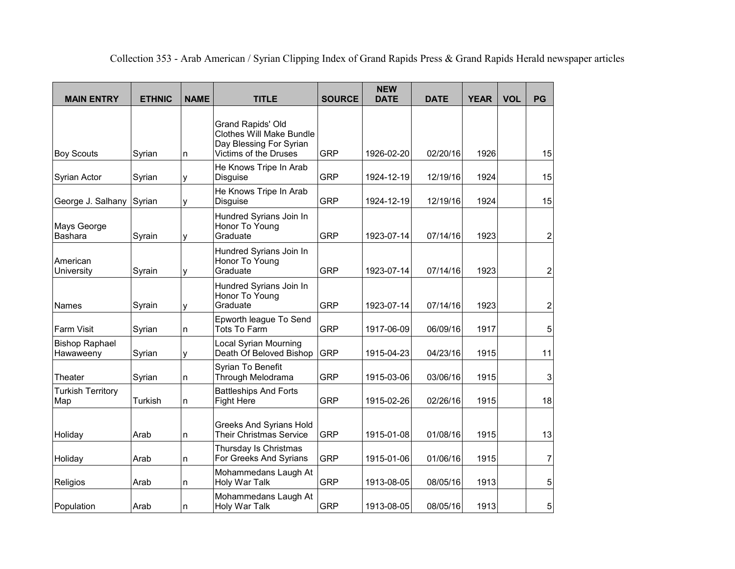| <b>MAIN ENTRY</b>                  | <b>ETHNIC</b> | <b>NAME</b> | <b>TITLE</b>                                                                                             | <b>SOURCE</b> | <b>NEW</b><br><b>DATE</b> | <b>DATE</b> | <b>YEAR</b> | <b>VOL</b> | PG                      |
|------------------------------------|---------------|-------------|----------------------------------------------------------------------------------------------------------|---------------|---------------------------|-------------|-------------|------------|-------------------------|
| <b>Boy Scouts</b>                  | Syrian        | n           | Grand Rapids' Old<br><b>Clothes Will Make Bundle</b><br>Day Blessing For Syrian<br>Victims of the Druses | <b>GRP</b>    | 1926-02-20                | 02/20/16    | 1926        |            | 15                      |
| Syrian Actor                       | Syrian        | y           | He Knows Tripe In Arab<br>Disguise                                                                       | <b>GRP</b>    | 1924-12-19                | 12/19/16    | 1924        |            | 15                      |
| George J. Salhany                  | Syrian        | y           | He Knows Tripe In Arab<br><b>Disguise</b>                                                                | <b>GRP</b>    | 1924-12-19                | 12/19/16    | 1924        |            | 15                      |
| Mays George<br><b>Bashara</b>      | Syrain        | y           | Hundred Syrians Join In<br>Honor To Young<br>Graduate                                                    | <b>GRP</b>    | 1923-07-14                | 07/14/16    | 1923        |            | 2                       |
| American<br>University             | Syrain        | y           | Hundred Syrians Join In<br>Honor To Young<br>Graduate                                                    | <b>GRP</b>    | 1923-07-14                | 07/14/16    | 1923        |            | $\overline{\mathbf{c}}$ |
| Names                              | Syrain        | y           | Hundred Syrians Join In<br>Honor To Young<br>Graduate                                                    | <b>GRP</b>    | 1923-07-14                | 07/14/16    | 1923        |            | $\overline{\mathbf{c}}$ |
| <b>Farm Visit</b>                  | Syrian        | n           | Epworth league To Send<br><b>Tots To Farm</b>                                                            | <b>GRP</b>    | 1917-06-09                | 06/09/16    | 1917        |            | 5                       |
| <b>Bishop Raphael</b><br>Hawaweeny | Syrian        | у           | <b>Local Syrian Mourning</b><br>Death Of Beloved Bishop                                                  | <b>GRP</b>    | 1915-04-23                | 04/23/16    | 1915        |            | 11                      |
| Theater                            | Syrian        | n           | Syrian To Benefit<br>Through Melodrama                                                                   | <b>GRP</b>    | 1915-03-06                | 03/06/16    | 1915        |            | 3                       |
| <b>Turkish Territory</b><br>Map    | Turkish       | n           | <b>Battleships And Forts</b><br><b>Fight Here</b>                                                        | <b>GRP</b>    | 1915-02-26                | 02/26/16    | 1915        |            | 18                      |
| Holiday                            | Arab          | n           | Greeks And Syrians Hold<br><b>Their Christmas Service</b>                                                | <b>GRP</b>    | 1915-01-08                | 01/08/16    | 1915        |            | 13                      |
| Holiday                            | Arab          | n           | Thursday Is Christmas<br>For Greeks And Syrians                                                          | <b>GRP</b>    | 1915-01-06                | 01/06/16    | 1915        |            | 7                       |
| Religios                           | Arab          | n           | Mohammedans Laugh At<br>Holy War Talk                                                                    | <b>GRP</b>    | 1913-08-05                | 08/05/16    | 1913        |            | 5                       |
| Population                         | Arab          | n           | Mohammedans Laugh At<br>Holy War Talk                                                                    | <b>GRP</b>    | 1913-08-05                | 08/05/16    | 1913        |            | 5                       |

Collection 353 - Arab American / Syrian Clipping Index of Grand Rapids Press & Grand Rapids Herald newspaper articles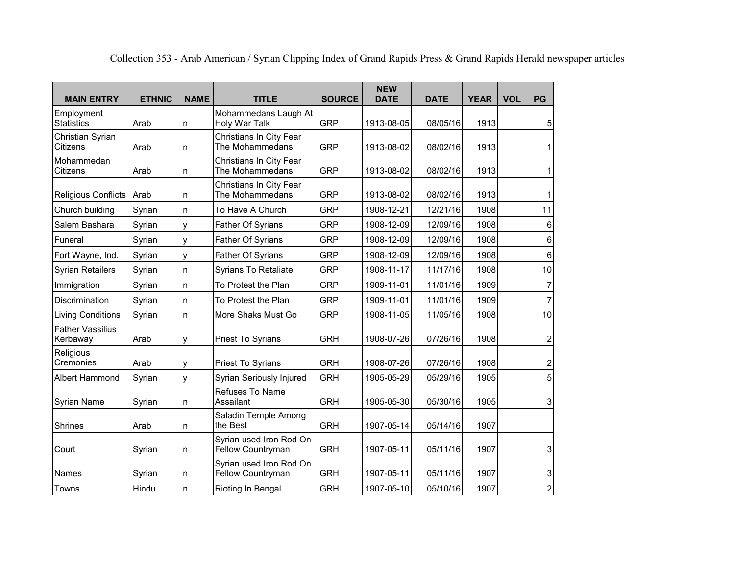| <b>MAIN ENTRY</b>                   | <b>ETHNIC</b> | <b>NAME</b> | <b>TITLE</b>                                        | <b>SOURCE</b> | <b>NEW</b><br><b>DATE</b> | <b>DATE</b> | <b>YEAR</b> | <b>VOL</b> | PG               |
|-------------------------------------|---------------|-------------|-----------------------------------------------------|---------------|---------------------------|-------------|-------------|------------|------------------|
| Employment<br><b>Statistics</b>     | Arab          | n           | Mohammedans Laugh At<br>Holy War Talk               | <b>GRP</b>    | 1913-08-05                | 08/05/16    | 1913        |            | 5                |
| Christian Syrian<br>Citizens        | Arab          | n           | Christians In City Fear<br>The Mohammedans          | <b>GRP</b>    | 1913-08-02                | 08/02/16    | 1913        |            | 1                |
| Mohammedan<br>Citizens              | Arab          | n           | Christians In City Fear<br>The Mohammedans          | <b>GRP</b>    | 1913-08-02                | 08/02/16    | 1913        |            | 1                |
| <b>Religious Conflicts</b>          | Arab          | n           | Christians In City Fear<br>The Mohammedans          | <b>GRP</b>    | 1913-08-02                | 08/02/16    | 1913        |            | 1                |
| Church building                     | Syrian        | n.          | To Have A Church                                    | <b>GRP</b>    | 1908-12-21                | 12/21/16    | 1908        |            | 11               |
| Salem Bashara                       | Syrian        | y           | Father Of Syrians                                   | <b>GRP</b>    | 1908-12-09                | 12/09/16    | 1908        |            | 6                |
| Funeral                             | Syrian        | y           | <b>Father Of Syrians</b>                            | <b>GRP</b>    | 1908-12-09                | 12/09/16    | 1908        |            | $\,6$            |
| Fort Wayne, Ind.                    | Syrian        | y           | <b>Father Of Syrians</b>                            | <b>GRP</b>    | 1908-12-09                | 12/09/16    | 1908        |            | 6                |
| <b>Syrian Retailers</b>             | Syrian        | n           | Syrians To Retaliate                                | <b>GRP</b>    | 1908-11-17                | 11/17/16    | 1908        |            | 10               |
| Immigration                         | Syrian        | n           | To Protest the Plan                                 | <b>GRP</b>    | 1909-11-01                | 11/01/16    | 1909        |            | $\overline{7}$   |
| Discrimination                      | Syrian        | n.          | To Protest the Plan                                 | <b>GRP</b>    | 1909-11-01                | 11/01/16    | 1909        |            | $\overline{7}$   |
| <b>Living Conditions</b>            | Syrian        | n.          | More Shaks Must Go                                  | <b>GRP</b>    | 1908-11-05                | 11/05/16    | 1908        |            | 10               |
| <b>Father Vassilius</b><br>Kerbaway | Arab          | y           | Priest To Syrians                                   | <b>GRH</b>    | 1908-07-26                | 07/26/16    | 1908        |            | $\overline{2}$   |
| Religious<br>Cremonies              | Arab          | y           | Priest To Syrians                                   | <b>GRH</b>    | 1908-07-26                | 07/26/16    | 1908        |            | $\boldsymbol{2}$ |
| Albert Hammond                      | Syrian        | У           | Syrian Seriously Injured                            | <b>GRH</b>    | 1905-05-29                | 05/29/16    | 1905        |            | 5                |
| Syrian Name                         | Syrian        | n           | Refuses To Name<br>Assailant                        | <b>GRH</b>    | 1905-05-30                | 05/30/16    | 1905        |            | 3                |
| Shrines                             | Arab          | n           | Saladin Temple Among<br>the Best                    | <b>GRH</b>    | 1907-05-14                | 05/14/16    | 1907        |            |                  |
| Court                               | Syrian        | n           | Syrian used Iron Rod On<br><b>Fellow Countryman</b> | <b>GRH</b>    | 1907-05-11                | 05/11/16    | 1907        |            | 3                |
| Names                               | Syrian        | n           | Syrian used Iron Rod On<br>Fellow Countryman        | <b>GRH</b>    | 1907-05-11                | 05/11/16    | 1907        |            | 3                |
| Towns                               | Hindu         | n           | Rioting In Bengal                                   | <b>GRH</b>    | 1907-05-10                | 05/10/16    | 1907        |            | $\boldsymbol{2}$ |

Collection 353 - Arab American / Syrian Clipping Index of Grand Rapids Press & Grand Rapids Herald newspaper articles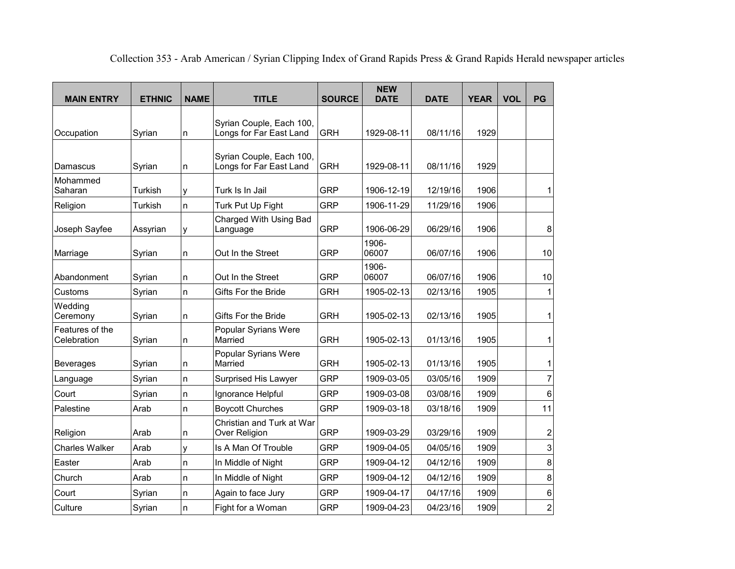| <b>MAIN ENTRY</b>              | <b>ETHNIC</b> | <b>NAME</b> | <b>TITLE</b>                                        | <b>SOURCE</b> | <b>NEW</b><br><b>DATE</b> | <b>DATE</b> | <b>YEAR</b> | <b>VOL</b> | PG                      |
|--------------------------------|---------------|-------------|-----------------------------------------------------|---------------|---------------------------|-------------|-------------|------------|-------------------------|
| Occupation                     | Syrian        | n           | Syrian Couple, Each 100,<br>Longs for Far East Land | <b>GRH</b>    | 1929-08-11                | 08/11/16    | 1929        |            |                         |
| Damascus                       | Syrian        | n           | Syrian Couple, Each 100,<br>Longs for Far East Land | <b>GRH</b>    | 1929-08-11                | 08/11/16    | 1929        |            |                         |
| Mohammed<br>Saharan            | Turkish       | y           | Turk Is In Jail                                     | <b>GRP</b>    | 1906-12-19                | 12/19/16    | 1906        |            | 1                       |
| Religion                       | Turkish       | n           | Turk Put Up Fight                                   | <b>GRP</b>    | 1906-11-29                | 11/29/16    | 1906        |            |                         |
| Joseph Sayfee                  | Assyrian      | у           | Charged With Using Bad<br>Language                  | <b>GRP</b>    | 1906-06-29                | 06/29/16    | 1906        |            | 8                       |
| Marriage                       | Syrian        | n           | Out In the Street                                   | <b>GRP</b>    | 1906-<br>06007            | 06/07/16    | 1906        |            | 10                      |
| Abandonment                    | Syrian        | n           | Out In the Street                                   | <b>GRP</b>    | 1906-<br>06007            | 06/07/16    | 1906        |            | 10                      |
| Customs                        | Syrian        | n           | Gifts For the Bride                                 | <b>GRH</b>    | 1905-02-13                | 02/13/16    | 1905        |            | 1                       |
| Wedding<br>Ceremony            | Syrian        | n           | Gifts For the Bride                                 | <b>GRH</b>    | 1905-02-13                | 02/13/16    | 1905        |            | 1                       |
| Features of the<br>Celebration | Syrian        | n           | Popular Syrians Were<br>Married                     | <b>GRH</b>    | 1905-02-13                | 01/13/16    | 1905        |            | 1                       |
| <b>Beverages</b>               | Syrian        | n           | Popular Syrians Were<br>Married                     | <b>GRH</b>    | 1905-02-13                | 01/13/16    | 1905        |            | 1                       |
| Language                       | Syrian        | n           | Surprised His Lawyer                                | <b>GRP</b>    | 1909-03-05                | 03/05/16    | 1909        |            | 7                       |
| Court                          | Syrian        | n           | Ignorance Helpful                                   | <b>GRP</b>    | 1909-03-08                | 03/08/16    | 1909        |            | 6                       |
| Palestine                      | Arab          | n           | <b>Boycott Churches</b>                             | <b>GRP</b>    | 1909-03-18                | 03/18/16    | 1909        |            | 11                      |
| Religion                       | Arab          | n           | Christian and Turk at War<br>Over Religion          | <b>GRP</b>    | 1909-03-29                | 03/29/16    | 1909        |            | $\overline{\mathbf{c}}$ |
| <b>Charles Walker</b>          | Arab          | y           | Is A Man Of Trouble                                 | <b>GRP</b>    | 1909-04-05                | 04/05/16    | 1909        |            | 3                       |
| Easter                         | Arab          | n           | In Middle of Night                                  | <b>GRP</b>    | 1909-04-12                | 04/12/16    | 1909        |            | 8                       |
| Church                         | Arab          | n           | In Middle of Night                                  | <b>GRP</b>    | 1909-04-12                | 04/12/16    | 1909        |            | 8                       |
| Court                          | Syrian        | n           | Again to face Jury                                  | <b>GRP</b>    | 1909-04-17                | 04/17/16    | 1909        |            | 6                       |
| Culture                        | Syrian        | n           | Fight for a Woman                                   | <b>GRP</b>    | 1909-04-23                | 04/23/16    | 1909        |            | $\overline{\mathbf{c}}$ |

Collection 353 - Arab American / Syrian Clipping Index of Grand Rapids Press & Grand Rapids Herald newspaper articles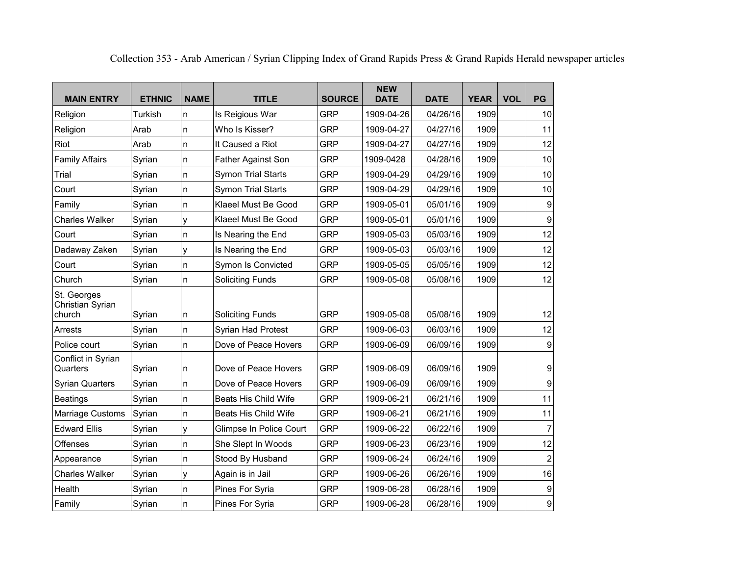| <b>MAIN ENTRY</b>                         | <b>ETHNIC</b> | <b>NAME</b> | <b>TITLE</b>                | <b>SOURCE</b> | <b>NEW</b><br><b>DATE</b> | <b>DATE</b> | <b>YEAR</b> | <b>VOL</b> | PG               |
|-------------------------------------------|---------------|-------------|-----------------------------|---------------|---------------------------|-------------|-------------|------------|------------------|
| Religion                                  | Turkish       | n           | Is Reigious War             | <b>GRP</b>    | 1909-04-26                | 04/26/16    | 1909        |            | 10               |
| Religion                                  | Arab          | n           | Who Is Kisser?              | <b>GRP</b>    | 1909-04-27                | 04/27/16    | 1909        |            | 11               |
| Riot                                      | Arab          | n           | It Caused a Riot            | <b>GRP</b>    | 1909-04-27                | 04/27/16    | 1909        |            | 12               |
| <b>Family Affairs</b>                     | Syrian        | n           | Father Against Son          | <b>GRP</b>    | 1909-0428                 | 04/28/16    | 1909        |            | 10               |
| Trial                                     | Syrian        | n           | <b>Symon Trial Starts</b>   | <b>GRP</b>    | 1909-04-29                | 04/29/16    | 1909        |            | 10               |
| Court                                     | Syrian        | n           | <b>Symon Trial Starts</b>   | <b>GRP</b>    | 1909-04-29                | 04/29/16    | 1909        |            | 10               |
| Family                                    | Syrian        | n           | Klaeel Must Be Good         | <b>GRP</b>    | 1909-05-01                | 05/01/16    | 1909        |            | 9                |
| <b>Charles Walker</b>                     | Syrian        | y           | Klaeel Must Be Good         | <b>GRP</b>    | 1909-05-01                | 05/01/16    | 1909        |            | 9                |
| Court                                     | Syrian        | n           | Is Nearing the End          | <b>GRP</b>    | 1909-05-03                | 05/03/16    | 1909        |            | 12               |
| Dadaway Zaken                             | Syrian        | y           | Is Nearing the End          | <b>GRP</b>    | 1909-05-03                | 05/03/16    | 1909        |            | 12               |
| Court                                     | Syrian        | n           | Symon Is Convicted          | <b>GRP</b>    | 1909-05-05                | 05/05/16    | 1909        |            | 12               |
| Church                                    | Syrian        | n           | <b>Soliciting Funds</b>     | <b>GRP</b>    | 1909-05-08                | 05/08/16    | 1909        |            | 12               |
| St. Georges<br>Christian Syrian<br>church | Syrian        | n           | <b>Soliciting Funds</b>     | <b>GRP</b>    | 1909-05-08                | 05/08/16    | 1909        |            | 12               |
| Arrests                                   | Syrian        | n           | Syrian Had Protest          | <b>GRP</b>    | 1909-06-03                | 06/03/16    | 1909        |            | 12               |
| Police court                              | Syrian        | n           | Dove of Peace Hovers        | <b>GRP</b>    | 1909-06-09                | 06/09/16    | 1909        |            | 9                |
| Conflict in Syrian<br>Quarters            | Syrian        | n           | Dove of Peace Hovers        | <b>GRP</b>    | 1909-06-09                | 06/09/16    | 1909        |            | $\boldsymbol{9}$ |
| <b>Syrian Quarters</b>                    | Syrian        | n           | Dove of Peace Hovers        | <b>GRP</b>    | 1909-06-09                | 06/09/16    | 1909        |            | 9                |
| <b>Beatings</b>                           | Syrian        | n           | <b>Beats His Child Wife</b> | <b>GRP</b>    | 1909-06-21                | 06/21/16    | 1909        |            | 11               |
| Marriage Customs                          | Syrian        | n           | <b>Beats His Child Wife</b> | <b>GRP</b>    | 1909-06-21                | 06/21/16    | 1909        |            | 11               |
| <b>Edward Ellis</b>                       | Syrian        | У           | Glimpse In Police Court     | <b>GRP</b>    | 1909-06-22                | 06/22/16    | 1909        |            | $\overline{7}$   |
| Offenses                                  | Syrian        | n           | She Slept In Woods          | <b>GRP</b>    | 1909-06-23                | 06/23/16    | 1909        |            | 12               |
| Appearance                                | Syrian        | n           | Stood By Husband            | <b>GRP</b>    | 1909-06-24                | 06/24/16    | 1909        |            | $\overline{c}$   |
| <b>Charles Walker</b>                     | Syrian        | y           | Again is in Jail            | <b>GRP</b>    | 1909-06-26                | 06/26/16    | 1909        |            | 16               |
| Health                                    | Syrian        | n           | Pines For Syria             | <b>GRP</b>    | 1909-06-28                | 06/28/16    | 1909        |            | $\boldsymbol{9}$ |
| Family                                    | Syrian        | n           | Pines For Syria             | <b>GRP</b>    | 1909-06-28                | 06/28/16    | 1909        |            | 9                |

Collection 353 - Arab American / Syrian Clipping Index of Grand Rapids Press & Grand Rapids Herald newspaper articles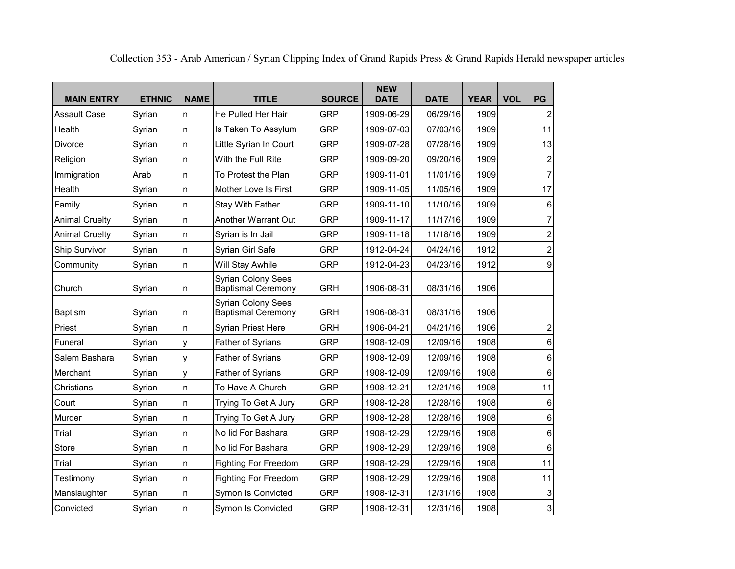| <b>MAIN ENTRY</b>     | <b>ETHNIC</b> | <b>NAME</b> | <b>TITLE</b>                                           | <b>SOURCE</b> | <b>NEW</b><br><b>DATE</b> | <b>DATE</b> | <b>YEAR</b> | <b>VOL</b> | <b>PG</b>               |
|-----------------------|---------------|-------------|--------------------------------------------------------|---------------|---------------------------|-------------|-------------|------------|-------------------------|
| <b>Assault Case</b>   | Syrian        | n           | He Pulled Her Hair                                     | <b>GRP</b>    | 1909-06-29                | 06/29/16    | 1909        |            | $\mathbf 2$             |
| Health                | Syrian        | n           | Is Taken To Assylum                                    | <b>GRP</b>    | 1909-07-03                | 07/03/16    | 1909        |            | 11                      |
| Divorce               | Syrian        | n.          | Little Syrian In Court                                 | <b>GRP</b>    | 1909-07-28                | 07/28/16    | 1909        |            | 13                      |
| Religion              | Syrian        | n.          | With the Full Rite                                     | <b>GRP</b>    | 1909-09-20                | 09/20/16    | 1909        |            | $\boldsymbol{2}$        |
| Immigration           | Arab          | n           | To Protest the Plan                                    | <b>GRP</b>    | 1909-11-01                | 11/01/16    | 1909        |            | $\overline{7}$          |
| Health                | Syrian        | n           | Mother Love Is First                                   | <b>GRP</b>    | 1909-11-05                | 11/05/16    | 1909        |            | 17                      |
| Family                | Syrian        | n           | Stay With Father                                       | <b>GRP</b>    | 1909-11-10                | 11/10/16    | 1909        |            | 6                       |
| <b>Animal Cruelty</b> | Syrian        | n           | Another Warrant Out                                    | <b>GRP</b>    | 1909-11-17                | 11/17/16    | 1909        |            | $\overline{7}$          |
| <b>Animal Cruelty</b> | Syrian        | n           | Syrian is In Jail                                      | <b>GRP</b>    | 1909-11-18                | 11/18/16    | 1909        |            | $\overline{\mathbf{c}}$ |
| Ship Survivor         | Syrian        | n           | Syrian Girl Safe                                       | <b>GRP</b>    | 1912-04-24                | 04/24/16    | 1912        |            | $\overline{\mathbf{c}}$ |
| Community             | Syrian        | n           | Will Stay Awhile                                       | <b>GRP</b>    | 1912-04-23                | 04/23/16    | 1912        |            | 9                       |
| Church                | Syrian        | n           | <b>Syrian Colony Sees</b><br><b>Baptismal Ceremony</b> | <b>GRH</b>    | 1906-08-31                | 08/31/16    | 1906        |            |                         |
| Baptism               | Syrian        | n           | <b>Syrian Colony Sees</b><br><b>Baptismal Ceremony</b> | <b>GRH</b>    | 1906-08-31                | 08/31/16    | 1906        |            |                         |
| Priest                | Syrian        | n           | <b>Syrian Priest Here</b>                              | <b>GRH</b>    | 1906-04-21                | 04/21/16    | 1906        |            | $\overline{\mathbf{c}}$ |
| Funeral               | Syrian        | y           | Father of Syrians                                      | <b>GRP</b>    | 1908-12-09                | 12/09/16    | 1908        |            | 6                       |
| Salem Bashara         | Syrian        | У           | Father of Syrians                                      | <b>GRP</b>    | 1908-12-09                | 12/09/16    | 1908        |            | 6                       |
| Merchant              | Syrian        | у           | Father of Syrians                                      | <b>GRP</b>    | 1908-12-09                | 12/09/16    | 1908        |            | 6                       |
| Christians            | Syrian        | n           | To Have A Church                                       | <b>GRP</b>    | 1908-12-21                | 12/21/16    | 1908        |            | 11                      |
| Court                 | Syrian        | n           | Trying To Get A Jury                                   | <b>GRP</b>    | 1908-12-28                | 12/28/16    | 1908        |            | 6                       |
| Murder                | Syrian        | n           | Trying To Get A Jury                                   | <b>GRP</b>    | 1908-12-28                | 12/28/16    | 1908        |            | 6                       |
| Trial                 | Syrian        | n           | No lid For Bashara                                     | <b>GRP</b>    | 1908-12-29                | 12/29/16    | 1908        |            | 6                       |
| <b>Store</b>          | Syrian        | n           | No lid For Bashara                                     | <b>GRP</b>    | 1908-12-29                | 12/29/16    | 1908        |            | 6                       |
| Trial                 | Syrian        | n           | <b>Fighting For Freedom</b>                            | <b>GRP</b>    | 1908-12-29                | 12/29/16    | 1908        |            | 11                      |
| Testimony             | Syrian        | n           | Fighting For Freedom                                   | <b>GRP</b>    | 1908-12-29                | 12/29/16    | 1908        |            | 11                      |
| Manslaughter          | Syrian        | n           | Symon Is Convicted                                     | <b>GRP</b>    | 1908-12-31                | 12/31/16    | 1908        |            | 3                       |
| Convicted             | Syrian        | n           | <b>Symon Is Convicted</b>                              | <b>GRP</b>    | 1908-12-31                | 12/31/16    | 1908        |            | 3                       |

Collection 353 - Arab American / Syrian Clipping Index of Grand Rapids Press & Grand Rapids Herald newspaper articles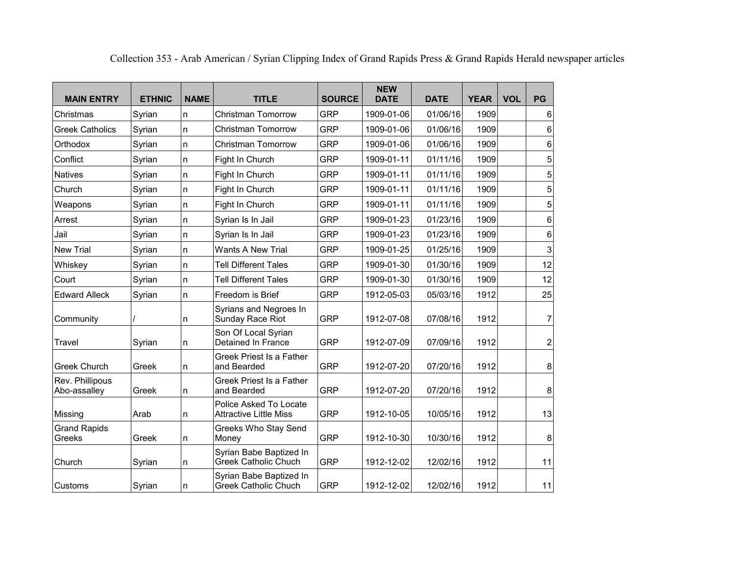| <b>MAIN ENTRY</b>               | <b>ETHNIC</b> | <b>NAME</b> | <b>TITLE</b>                                            | <b>SOURCE</b> | <b>NEW</b><br><b>DATE</b> | <b>DATE</b> | <b>YEAR</b> | <b>VOL</b> | PG             |
|---------------------------------|---------------|-------------|---------------------------------------------------------|---------------|---------------------------|-------------|-------------|------------|----------------|
| Christmas                       | Syrian        | n           | <b>Christman Tomorrow</b>                               | <b>GRP</b>    | 1909-01-06                | 01/06/16    | 1909        |            | 6              |
| <b>Greek Catholics</b>          | Syrian        | n           | Christman Tomorrow                                      | <b>GRP</b>    | 1909-01-06                | 01/06/16    | 1909        |            | 6              |
| Orthodox                        | Syrian        | n           | <b>Christman Tomorrow</b>                               | <b>GRP</b>    | 1909-01-06                | 01/06/16    | 1909        |            | 6              |
| Conflict                        | Syrian        | n           | Fight In Church                                         | <b>GRP</b>    | 1909-01-11                | 01/11/16    | 1909        |            | 5              |
| <b>Natives</b>                  | Syrian        | n           | Fight In Church                                         | <b>GRP</b>    | 1909-01-11                | 01/11/16    | 1909        |            | 5              |
| Church                          | Syrian        | n           | Fight In Church                                         | <b>GRP</b>    | 1909-01-11                | 01/11/16    | 1909        |            | 5              |
| Weapons                         | Syrian        | n           | Fight In Church                                         | <b>GRP</b>    | 1909-01-11                | 01/11/16    | 1909        |            | 5              |
| Arrest                          | Syrian        | n           | Syrian Is In Jail                                       | <b>GRP</b>    | 1909-01-23                | 01/23/16    | 1909        |            | 6              |
| Jail                            | Syrian        | n           | Syrian Is In Jail                                       | <b>GRP</b>    | 1909-01-23                | 01/23/16    | 1909        |            | 6              |
| <b>New Trial</b>                | Syrian        | n.          | <b>Wants A New Trial</b>                                | <b>GRP</b>    | 1909-01-25                | 01/25/16    | 1909        |            | 3              |
| Whiskey                         | Syrian        | n.          | <b>Tell Different Tales</b>                             | <b>GRP</b>    | 1909-01-30                | 01/30/16    | 1909        |            | 12             |
| Court                           | Syrian        | n           | <b>Tell Different Tales</b>                             | <b>GRP</b>    | 1909-01-30                | 01/30/16    | 1909        |            | 12             |
| <b>Edward Alleck</b>            | Syrian        | n           | Freedom is Brief                                        | <b>GRP</b>    | 1912-05-03                | 05/03/16    | 1912        |            | 25             |
| Community                       |               | n           | Syrians and Negroes In<br>Sunday Race Riot              | <b>GRP</b>    | 1912-07-08                | 07/08/16    | 1912        |            | $\overline{7}$ |
| Travel                          | Syrian        | n           | Son Of Local Syrian<br>Detained In France               | <b>GRP</b>    | 1912-07-09                | 07/09/16    | 1912        |            | $\overline{2}$ |
| <b>Greek Church</b>             | Greek         | n           | Greek Priest Is a Father<br>and Bearded                 | <b>GRP</b>    | 1912-07-20                | 07/20/16    | 1912        |            | 8              |
| Rev. Phillipous<br>Abo-assalley | Greek         | n           | Greek Priest Is a Father<br>and Bearded                 | <b>GRP</b>    | 1912-07-20                | 07/20/16    | 1912        |            | 8              |
| Missing                         | Arab          | n           | Police Asked To Locate<br><b>Attractive Little Miss</b> | <b>GRP</b>    | 1912-10-05                | 10/05/16    | 1912        |            | 13             |
| <b>Grand Rapids</b><br>Greeks   | Greek         | n           | Greeks Who Stay Send<br>Money                           | <b>GRP</b>    | 1912-10-30                | 10/30/16    | 1912        |            | 8              |
| Church                          | Syrian        | n           | Syrian Babe Baptized In<br><b>Greek Catholic Chuch</b>  | <b>GRP</b>    | 1912-12-02                | 12/02/16    | 1912        |            | 11             |
| Customs                         | Syrian        | n           | Syrian Babe Baptized In<br><b>Greek Catholic Chuch</b>  | <b>GRP</b>    | 1912-12-02                | 12/02/16    | 1912        |            | 11             |

Collection 353 - Arab American / Syrian Clipping Index of Grand Rapids Press & Grand Rapids Herald newspaper articles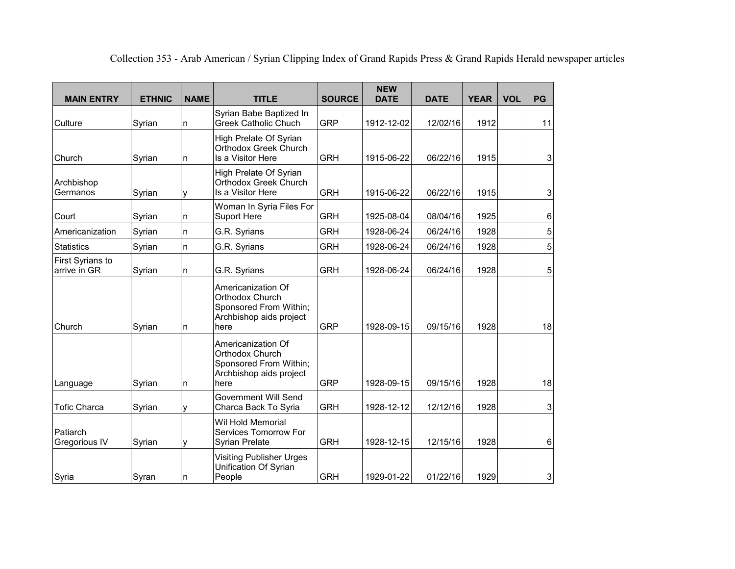| <b>MAIN ENTRY</b>                       | <b>ETHNIC</b> | <b>NAME</b> | <b>TITLE</b>                                                                                       | <b>SOURCE</b> | <b>NEW</b><br><b>DATE</b> | <b>DATE</b> | <b>YEAR</b> | <b>VOL</b> | PG |
|-----------------------------------------|---------------|-------------|----------------------------------------------------------------------------------------------------|---------------|---------------------------|-------------|-------------|------------|----|
| Culture                                 | Syrian        | n           | Syrian Babe Baptized In<br>Greek Catholic Chuch                                                    | <b>GRP</b>    | 1912-12-02                | 12/02/16    | 1912        |            | 11 |
| Church                                  | Syrian        | n.          | High Prelate Of Syrian<br>Orthodox Greek Church<br>Is a Visitor Here                               | <b>GRH</b>    | 1915-06-22                | 06/22/16    | 1915        |            | 3  |
| Archbishop<br>Germanos                  | Syrian        | y           | High Prelate Of Syrian<br>Orthodox Greek Church<br>Is a Visitor Here                               | <b>GRH</b>    | 1915-06-22                | 06/22/16    | 1915        |            | 3  |
| Court                                   | Syrian        | n           | Woman In Syria Files For<br>Suport Here                                                            | <b>GRH</b>    | 1925-08-04                | 08/04/16    | 1925        |            | 6  |
| Americanization                         | Syrian        | n           | G.R. Syrians                                                                                       | <b>GRH</b>    | 1928-06-24                | 06/24/16    | 1928        |            | 5  |
| <b>Statistics</b>                       | Syrian        | n           | G.R. Syrians                                                                                       | <b>GRH</b>    | 1928-06-24                | 06/24/16    | 1928        |            | 5  |
| <b>First Syrians to</b><br>arrive in GR | Syrian        | n           | G.R. Syrians                                                                                       | <b>GRH</b>    | 1928-06-24                | 06/24/16    | 1928        |            | 5  |
| Church                                  | Syrian        | n           | Americanization Of<br>Orthodox Church<br>Sponsored From Within;<br>Archbishop aids project<br>here | <b>GRP</b>    | 1928-09-15                | 09/15/16    | 1928        |            | 18 |
| Language                                | Syrian        | n           | Americanization Of<br>Orthodox Church<br>Sponsored From Within;<br>Archbishop aids project<br>here | <b>GRP</b>    | 1928-09-15                | 09/15/16    | 1928        |            | 18 |
| <b>Tofic Charca</b>                     | Syrian        | y           | Government Will Send<br>Charca Back To Syria                                                       | <b>GRH</b>    | 1928-12-12                | 12/12/16    | 1928        |            | 3  |
| Patiarch<br>Gregorious IV               | Syrian        | y           | Wil Hold Memorial<br>Services Tomorrow For<br>Syrian Prelate                                       | <b>GRH</b>    | 1928-12-15                | 12/15/16    | 1928        |            | 6  |
| Syria                                   | Syran         | n           | Visiting Publisher Urges<br>Unification Of Syrian<br>People                                        | <b>GRH</b>    | 1929-01-22                | 01/22/16    | 1929        |            | 3  |

Collection 353 - Arab American / Syrian Clipping Index of Grand Rapids Press & Grand Rapids Herald newspaper articles